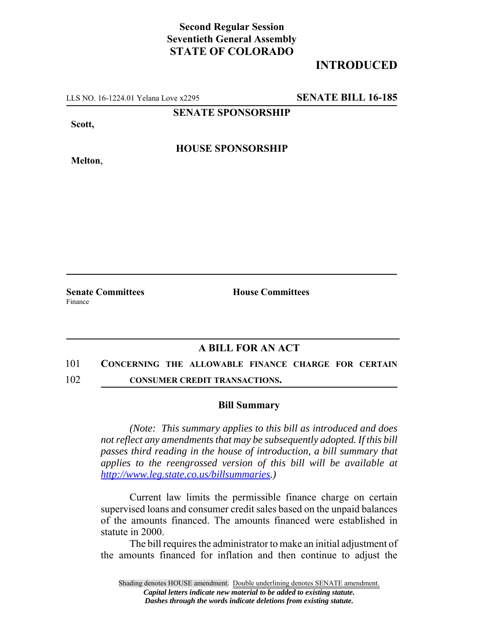## **Second Regular Session Seventieth General Assembly STATE OF COLORADO**

# **INTRODUCED**

LLS NO. 16-1224.01 Yelana Love x2295 **SENATE BILL 16-185**

**SENATE SPONSORSHIP**

**Scott,**

**HOUSE SPONSORSHIP**

**Melton**,

**Senate Committees House Committees** Finance

## **A BILL FOR AN ACT**

#### 101 **CONCERNING THE ALLOWABLE FINANCE CHARGE FOR CERTAIN**

102 **CONSUMER CREDIT TRANSACTIONS.**

### **Bill Summary**

*(Note: This summary applies to this bill as introduced and does not reflect any amendments that may be subsequently adopted. If this bill passes third reading in the house of introduction, a bill summary that applies to the reengrossed version of this bill will be available at http://www.leg.state.co.us/billsummaries.)*

Current law limits the permissible finance charge on certain supervised loans and consumer credit sales based on the unpaid balances of the amounts financed. The amounts financed were established in statute in 2000.

The bill requires the administrator to make an initial adjustment of the amounts financed for inflation and then continue to adjust the